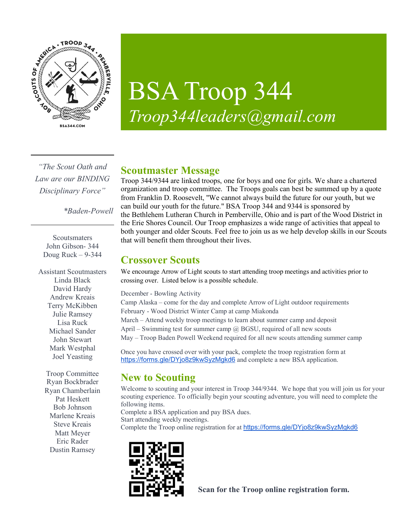

# BSA Troop 344 *Troop344leaders@gmail.com*

*"The Scout Oath and Law are our BINDING Disciplinary Force"*

*\*Baden-Powell*

**Scoutsmaters** John Gibson- 344 Doug Ruck  $-9-344$ 

Assistant Scoutmasters Linda Black David Hardy Andrew Kreais Terry McKibben Julie Ramsey Lisa Ruck Michael Sander John Stewart Mark Westphal Joel Yeasting

Troop Committee Ryan Bockbrader Ryan Chamberlain Pat Heskett Bob Johnson Marlene Kreais Steve Kreais Matt Meyer Eric Rader Dustin Ramsey

## **Scoutmaster Message**

Troop 344/9344 are linked troops, one for boys and one for girls. We share a chartered organization and troop committee. The Troops goals can best be summed up by a quote from Franklin D. Roosevelt, "We cannot always build the future for our youth, but we can build our youth for the future." BSA Troop 344 and 9344 is sponsored by the Bethlehem Lutheran Church in Pemberville, Ohio and is part of the Wood District in the Erie Shores Council. Our Troop emphasizes a wide range of activities that appeal to both younger and older Scouts. Feel free to join us as we help develop skills in our Scouts that will benefit them throughout their lives.

## **Crossover Scouts**

We encourage Arrow of Light scouts to start attending troop meetings and activities prior to crossing over. Listed below is a possible schedule.

December - Bowling Activity

Camp Alaska – come for the day and complete Arrow of Light outdoor requirements February - Wood District Winter Camp at camp Miakonda March – Attend weekly troop meetings to learn about summer camp and deposit April – Swimming test for summer camp  $\omega$  BGSU, required of all new scouts

May – Troop Baden Powell Weekend required for all new scouts attending summer camp

Once you have crossed over with your pack, complete the troop registration form at https://forms.gle/DYjo8z9kwSyzMgkd6 and complete a new BSA application.

# **New to Scouting**

Welcome to scouting and your interest in Troop 344/9344. We hope that you will join us for your scouting experience. To officially begin your scouting adventure, you will need to complete the following items.

Complete a BSA application and pay BSA dues.

Start attending weekly meetings.

Complete the Troop online registration for at https://forms.gle/DYjo8z9kwSyzMgkd6



**Scan for the Troop online registration form.**